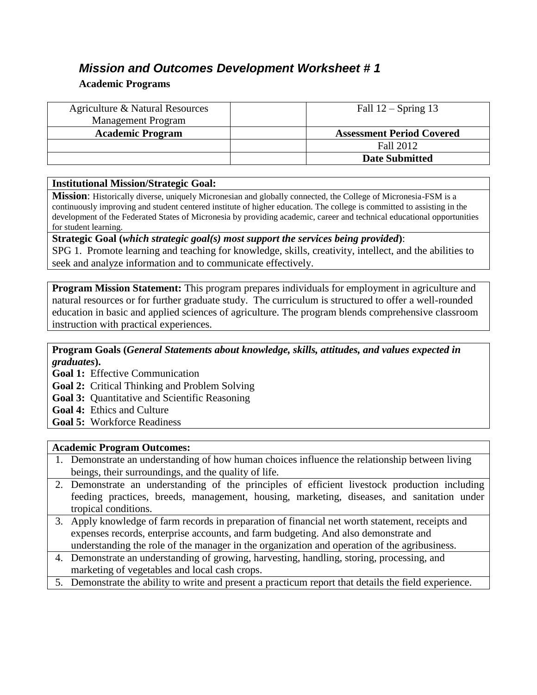# *Mission and Outcomes Development Worksheet # 1*

## **Academic Programs**

| Agriculture & Natural Resources | Fall $12$ – Spring 13            |
|---------------------------------|----------------------------------|
| <b>Management Program</b>       |                                  |
| <b>Academic Program</b>         | <b>Assessment Period Covered</b> |
|                                 | Fall 2012                        |
|                                 | <b>Date Submitted</b>            |

## **Institutional Mission/Strategic Goal:**

**Mission**: Historically diverse, uniquely Micronesian and globally connected, the College of Micronesia-FSM is a continuously improving and student centered institute of higher education. The college is committed to assisting in the development of the Federated States of Micronesia by providing academic, career and technical educational opportunities for student learning.

**Strategic Goal (***which strategic goal(s) most support the services being provided***)**: SPG 1. Promote learning and teaching for knowledge, skills, creativity, intellect, and the abilities to seek and analyze information and to communicate effectively.

**Program Mission Statement:** This program prepares individuals for employment in agriculture and natural resources or for further graduate study. The curriculum is structured to offer a well-rounded education in basic and applied sciences of agriculture. The program blends comprehensive classroom instruction with practical experiences.

**Program Goals (***General Statements about knowledge, skills, attitudes, and values expected in graduates***).** 

**Goal 1:** Effective Communication

- **Goal 2:** Critical Thinking and Problem Solving
- **Goal 3:** Quantitative and Scientific Reasoning

**Goal 4:** Ethics and Culture

**Goal 5:** Workforce Readiness

## **Academic Program Outcomes:**

- 1. Demonstrate an understanding of how human choices influence the relationship between living beings, their surroundings, and the quality of life.
- 2. Demonstrate an understanding of the principles of efficient livestock production including feeding practices, breeds, management, housing, marketing, diseases, and sanitation under tropical conditions.
- 3. Apply knowledge of farm records in preparation of financial net worth statement, receipts and expenses records, enterprise accounts, and farm budgeting. And also demonstrate and understanding the role of the manager in the organization and operation of the agribusiness.
- 4. Demonstrate an understanding of growing, harvesting, handling, storing, processing, and marketing of vegetables and local cash crops.
- 5. Demonstrate the ability to write and present a practicum report that details the field experience.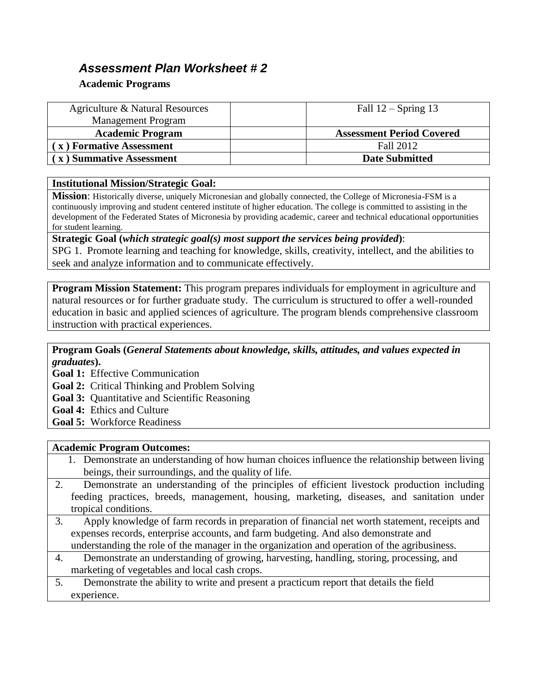# *Assessment Plan Worksheet # 2*

### **Academic Programs**

| Agriculture & Natural Resources | Fall $12$ – Spring 13            |
|---------------------------------|----------------------------------|
| <b>Management Program</b>       |                                  |
| <b>Academic Program</b>         | <b>Assessment Period Covered</b> |
| (x) Formative Assessment        | Fall 2012                        |
| x) Summative Assessment         | <b>Date Submitted</b>            |

#### **Institutional Mission/Strategic Goal:**

**Mission**: Historically diverse, uniquely Micronesian and globally connected, the College of Micronesia-FSM is a continuously improving and student centered institute of higher education. The college is committed to assisting in the development of the Federated States of Micronesia by providing academic, career and technical educational opportunities for student learning.

**Strategic Goal (***which strategic goal(s) most support the services being provided***)**: SPG 1. Promote learning and teaching for knowledge, skills, creativity, intellect, and the abilities to seek and analyze information and to communicate effectively.

**Program Mission Statement:** This program prepares individuals for employment in agriculture and natural resources or for further graduate study. The curriculum is structured to offer a well-rounded education in basic and applied sciences of agriculture. The program blends comprehensive classroom instruction with practical experiences.

### **Program Goals (***General Statements about knowledge, skills, attitudes, and values expected in graduates***).**

**Goal 1:** Effective Communication

- **Goal 2:** Critical Thinking and Problem Solving
- **Goal 3:** Quantitative and Scientific Reasoning
- **Goal 4:** Ethics and Culture
- **Goal 5:** Workforce Readiness

#### **Academic Program Outcomes:**

- 1. Demonstrate an understanding of how human choices influence the relationship between living beings, their surroundings, and the quality of life.
- 2. Demonstrate an understanding of the principles of efficient livestock production including feeding practices, breeds, management, housing, marketing, diseases, and sanitation under tropical conditions.
- 3. Apply knowledge of farm records in preparation of financial net worth statement, receipts and expenses records, enterprise accounts, and farm budgeting. And also demonstrate and understanding the role of the manager in the organization and operation of the agribusiness.
- 4. Demonstrate an understanding of growing, harvesting, handling, storing, processing, and marketing of vegetables and local cash crops.
- 5. Demonstrate the ability to write and present a practicum report that details the field experience.